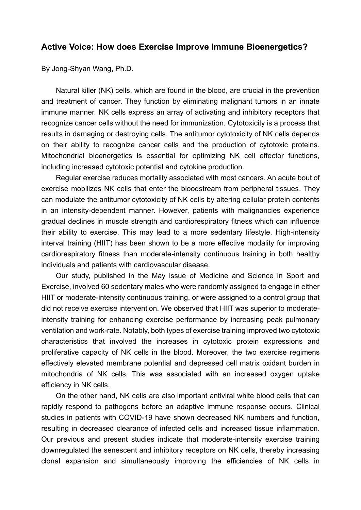## **Active Voice: How does Exercise Improve Immune Bioenergetics?**

By Jong-Shyan Wang, Ph.D.

Natural killer (NK) cells, which are found in the blood, are crucial in the prevention and treatment of cancer. They function by eliminating malignant tumors in an innate immune manner. NK cells express an array of activating and inhibitory receptors that recognize cancer cells without the need for immunization. Cytotoxicity is a process that results in damaging or destroying cells. The antitumor cytotoxicity of NK cells depends on their ability to recognize cancer cells and the production of cytotoxic proteins. Mitochondrial bioenergetics is essential for optimizing NK cell effector functions, including increased cytotoxic potential and cytokine production.

Regular exercise reduces mortality associated with most cancers. An acute bout of exercise mobilizes NK cells that enter the bloodstream from peripheral tissues. They can modulate the antitumor cytotoxicity of NK cells by altering cellular protein contents in an intensity-dependent manner. However, patients with malignancies experience gradual declines in muscle strength and cardiorespiratory fitness which can influence their ability to exercise. This may lead to a more sedentary lifestyle. High-intensity interval training (HIIT) has been shown to be a more effective modality for improving cardiorespiratory fitness than moderate-intensity continuous training in both healthy individuals and patients with cardiovascular disease.

[Our study,](https://journals.lww.com/acsm-msse/Abstract/9000/Exercise_Training_Improves_Mitochondrial.95909.aspx) published in the May issue of Medicine and Science in Sport and Exercise, involved 60 sedentary males who were randomly assigned to engage in either HIIT or moderate-intensity continuous training, or were assigned to a control group that did not receive exercise intervention. We observed that HIIT was superior to moderateintensity training for enhancing exercise performance by increasing peak pulmonary ventilation and work-rate. Notably, both types of exercise training improved two cytotoxic characteristics that involved the increases in cytotoxic protein expressions and proliferative capacity of NK cells in the blood. Moreover, the two exercise regimens effectively elevated membrane potential and depressed cell matrix oxidant burden in mitochondria of NK cells. This was associated with an increased oxygen uptake efficiency in NK cells.

On the other hand, NK cells are also important antiviral white blood cells that can rapidly respond to pathogens before an adaptive immune response occurs. Clinical studies in patients with COVID-19 have shown decreased NK numbers and function, resulting in decreased clearance of infected cells and increased tissue inflammation. Our previous and present studies indicate that moderate-intensity exercise training downregulated the senescent and inhibitory receptors on NK cells, thereby increasing clonal expansion and simultaneously improving the efficiencies of NK cells in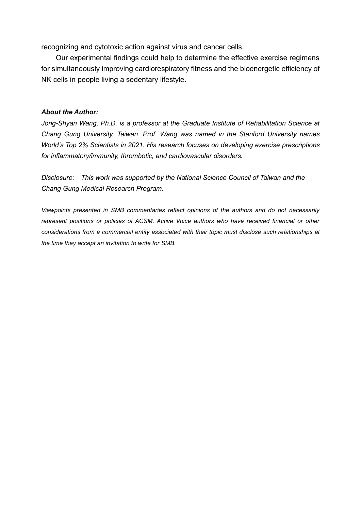recognizing and cytotoxic action against virus and cancer cells.

Our experimental findings could help to determine the effective exercise regimens for simultaneously improving cardiorespiratory fitness and the bioenergetic efficiency of NK cells in people living a sedentary lifestyle.

## *About the Author:*

*Jong-Shyan Wang, Ph.D. is a professor at the Graduate Institute of Rehabilitation Science at Chang Gung University, Taiwan. Prof. Wang was named in the Stanford University names World's Top 2% Scientists in 2021. His research focuses on developing exercise prescriptions for inflammatory/immunity, thrombotic, and cardiovascular disorders.*

*Disclosure: This work was supported by the National Science Council of Taiwan and the Chang Gung Medical Research Program.*

*Viewpoints presented in SMB commentaries reflect opinions of the authors and do not necessarily represent positions or policies of ACSM. Active Voice authors who have received financial or other considerations from a commercial entity associated with their topic must disclose such relationships at the time they accept an invitation to write for SMB.*